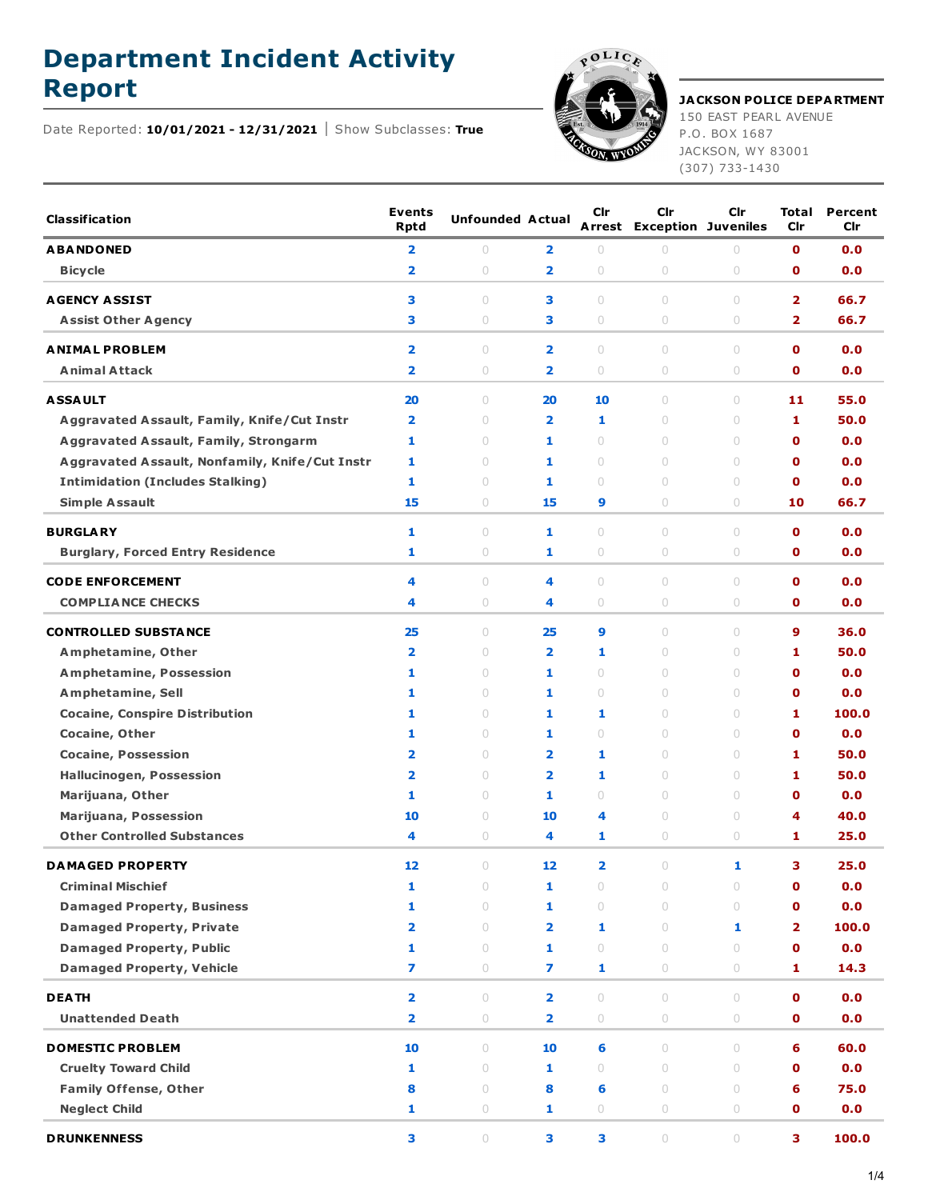## **Department Incident Activity**



## **Report JACKSON POLICE DEPARTMENT** 150 EAST PEARL AVENUE

P.O. BOX 1687 JACKSON, WY 83001 (307) 733-1430

Date Reported: **10/01/2021 - 12/31/2021** Show Subclasses: **True**

| <b>Classification</b>                          | <b>Events</b><br><b>Rptd</b>                       | <b>Unfounded Actual</b>          |                                                    | Cir                     | Cir<br><b>Arrest Exception Juveniles</b>    | <b>Cir</b>                       | Total<br><b>Cir</b>        | Percent<br>Cir |
|------------------------------------------------|----------------------------------------------------|----------------------------------|----------------------------------------------------|-------------------------|---------------------------------------------|----------------------------------|----------------------------|----------------|
| <b>ABANDONED</b>                               | $\overline{\mathbf{2}}$                            | $\circ$                          | 2                                                  | $\circ$                 | $\circ$                                     | $\circ$                          | $\mathbf o$                | 0.0            |
| <b>Bicycle</b>                                 | $\overline{\mathbf{2}}$                            | $\bigcirc$                       | $\overline{2}$                                     | $\circ$                 | $\circ$                                     | $\circ$                          | $\mathbf o$                | 0.0            |
| <b>AGENCY ASSIST</b>                           | з                                                  | $\circ$                          | 3                                                  | $\circ$                 | $\circ$                                     | $\circ$                          | 2                          | 66.7           |
| <b>Assist Other Agency</b>                     | з                                                  | $\circ$                          | з                                                  | 0                       | $\circ$                                     | $\circ$                          | 2                          | 66.7           |
|                                                |                                                    |                                  |                                                    |                         |                                             |                                  |                            |                |
| <b>ANIMAL PROBLEM</b><br><b>Animal Attack</b>  | $\overline{\mathbf{2}}$<br>$\overline{\mathbf{2}}$ | $\bigcirc$<br>$\circ$            | $\overline{\mathbf{2}}$<br>$\overline{\mathbf{2}}$ | $\cup$<br>$\circ$       | $\begin{array}{c} \n\end{array}$<br>$\circ$ | $\circ$<br>$\circ$               | $\mathbf o$<br>$\mathbf o$ | 0.0<br>0.0     |
|                                                |                                                    |                                  |                                                    |                         |                                             |                                  |                            |                |
| <b>ASSAULT</b>                                 | 20                                                 | $\circ$                          | 20                                                 | 10                      | $\circ$                                     | $\circ$                          | 11                         | 55.0           |
| Aggravated Assault, Family, Knife/Cut Instr    | $\overline{\mathbf{2}}$                            | $\begin{array}{c} \n\end{array}$ | $\overline{\mathbf{2}}$                            | 1                       | $\circ$                                     | $\circ$                          | 1                          | 50.0           |
| <b>Aggravated Assault, Family, Strongarm</b>   | 1                                                  | $\begin{array}{c} \n\end{array}$ | 1                                                  | $\cup$                  | $\begin{array}{c} \n\end{array}$            | $\cup$                           | $\mathbf o$                | 0.0            |
| Aggravated Assault, Nonfamily, Knife/Cut Instr | 1                                                  | $\begin{array}{c} \n\end{array}$ | 1                                                  | $\circ$                 | $\begin{array}{c} \n\end{array}$            | $\circ$                          | $\mathbf o$                | 0.0            |
| <b>Intimidation (Includes Stalking)</b>        | 1                                                  | $\circ$                          | 1                                                  | $\circ$                 | $\circ$                                     | $\cup$                           | $\mathbf o$                | 0.0            |
| <b>Simple Assault</b>                          | 15                                                 | $\circ$                          | 15                                                 | 9                       | $\circ$                                     | $\circ$                          | 10                         | 66.7           |
| <b>BURGLARY</b>                                | 1                                                  | $\bigcirc$                       | 1                                                  | $\cup$                  | $\begin{array}{c} \n\end{array}$            | $\circ$                          | $\mathbf o$                | 0.0            |
| <b>Burglary, Forced Entry Residence</b>        | 1                                                  | $\circ$                          | 1                                                  | $\circ$                 | $\circ$                                     | $\bigcirc$                       | $\mathbf o$                | 0.0            |
| <b>CODE ENFORCEMENT</b>                        | 4                                                  | $\circ$                          | 4                                                  | $\circ$                 | $\circ$                                     | $\circ$                          | $\mathbf o$                | 0.0            |
| <b>COMPLIANCE CHECKS</b>                       | 4                                                  | $\circ$                          | 4                                                  | $\circ$                 | $\circ$                                     | $\circ$                          | O                          | 0.0            |
|                                                |                                                    |                                  |                                                    |                         |                                             |                                  |                            |                |
| <b>CONTROLLED SUBSTANCE</b>                    | 25                                                 | $\bigcirc$                       | 25                                                 | 9                       | $\cup$                                      | $\begin{array}{c} \n\end{array}$ | 9                          | 36.0           |
| Amphetamine, Other                             | $\overline{\mathbf{2}}$                            | $\cup$                           | $\overline{\mathbf{2}}$                            | 1                       | $\begin{array}{c} \n\end{array}$            | $\begin{array}{c} \n\end{array}$ | 1                          | 50.0           |
| <b>Amphetamine, Possession</b>                 | 1                                                  | $\circ$                          | 1                                                  | $\circ$                 | $\cup$                                      | $\circ$                          | $\mathbf o$                | 0.0            |
| Amphetamine, Sell                              | 1                                                  | $\cup$                           | 1                                                  | $\cup$                  | $\circ$                                     | $\circ$                          | $\mathbf 0$                | 0.0            |
| <b>Cocaine, Conspire Distribution</b>          | 1                                                  | $\bigcirc$                       | 1                                                  | 1                       | $\begin{array}{c} \n\end{array}$            | $\begin{array}{c} \n\end{array}$ | 1                          | 100.0          |
| Cocaine, Other                                 | 1                                                  | $\begin{array}{c} \n\end{array}$ | 1                                                  | $\cup$                  | $\cup$                                      | $\circ$                          | $\mathbf o$                | 0.0            |
| <b>Cocaine, Possession</b>                     | $\overline{\mathbf{2}}$                            | $\circ$                          | $\overline{\mathbf{2}}$                            | 1                       | $\circ$                                     | $\circ$                          | 1                          | 50.0           |
| <b>Hallucinogen, Possession</b>                | 2                                                  | $\circ$                          | $\overline{\mathbf{2}}$                            | 1                       | $\circ$                                     | $\circ$                          | 1                          | 50.0           |
| Marijuana, Other                               | 1                                                  | $\bigcirc$                       | 1                                                  | $\cup$                  | $\begin{array}{c} \n\end{array}$            | $\circ$                          | $\mathbf o$                | 0.0            |
| Marijuana, Possession                          | 10                                                 | $\begin{array}{c} \n\end{array}$ | 10                                                 | 4                       | $\begin{array}{c} \n\end{array}$            | $\circ$                          | 4                          | 40.0           |
| <b>Other Controlled Substances</b>             | 4                                                  | $\circ$                          | 4                                                  | 1                       | $\circ$                                     | $\circ$                          | 1                          | 25.0           |
| <b>DAMAGED PROPERTY</b>                        | 12                                                 | $\begin{array}{c} \n\end{array}$ | 12                                                 | $\overline{\mathbf{2}}$ | $\begin{array}{c} \n\end{array}$            | 1                                | з                          | 25.0           |
| <b>Criminal Mischief</b>                       | 1                                                  | $\circ$                          | 1                                                  | $\circ$                 | $\circ$                                     | $\circ$                          | 0                          | 0.0            |
| <b>Damaged Property, Business</b>              | 1                                                  | $\circ$                          | 1                                                  | $\circ$                 | $\circ$                                     | $\circ$                          | $\mathbf o$                | 0.0            |
| <b>Damaged Property, Private</b>               | $\overline{\mathbf{2}}$                            | $\circ$                          | $\overline{\mathbf{2}}$                            | 1                       | $\circ$                                     | 1                                | 2                          | 100.0          |
| <b>Damaged Property, Public</b>                | 1                                                  | $\circ$                          | 1                                                  | $\circ$                 | $\circ$                                     | $\circ$                          | $\mathbf o$                | 0.0            |
| <b>Damaged Property, Vehicle</b>               | 7                                                  | $\circ$                          | 7                                                  | 1                       | $\circ$                                     | $\bigcirc$                       | 1                          | 14.3           |
| <b>DEATH</b>                                   | $\overline{\mathbf{2}}$                            | $\circ$                          | $\overline{\mathbf{2}}$                            | $\circ$                 | $\circ$                                     | $\circ$                          | $\mathbf{O}$               | 0.0            |
| <b>Unattended Death</b>                        | $\overline{\mathbf{2}}$                            | $\bigcirc$                       | $\overline{\mathbf{2}}$                            | $\bigcirc$              | $\bigcirc$                                  | $\bigcirc$                       | $\mathbf 0$                | 0.0            |
| <b>DOMESTIC PROBLEM</b>                        | 10                                                 | $\circ$                          | 10                                                 | 6                       | $\circ$                                     | $\circ$                          | 6                          | 60.0           |
| <b>Cruelty Toward Child</b>                    | 1                                                  | $\circ$                          | 1                                                  | $\cup$                  | $\circ$                                     | $\circ$                          | $\mathbf o$                | 0.0            |
| <b>Family Offense, Other</b>                   | 8                                                  | $\circ$                          | 8                                                  | 6                       | $\circ$                                     | $\circ$                          | 6                          | 75.0           |
| <b>Neglect Child</b>                           | 1                                                  | $\bigcirc$                       | 1                                                  | $\bigcirc$              | $\bigcirc$                                  | $\bigcirc$                       | $\mathbf o$                | 0.0            |
|                                                |                                                    |                                  |                                                    |                         |                                             |                                  |                            |                |
| <b>DRUNKENNESS</b>                             | 3                                                  | $\bigcirc$                       | з                                                  | 3                       | $\circ$                                     | $\bigcirc$                       | 3                          | 100.0          |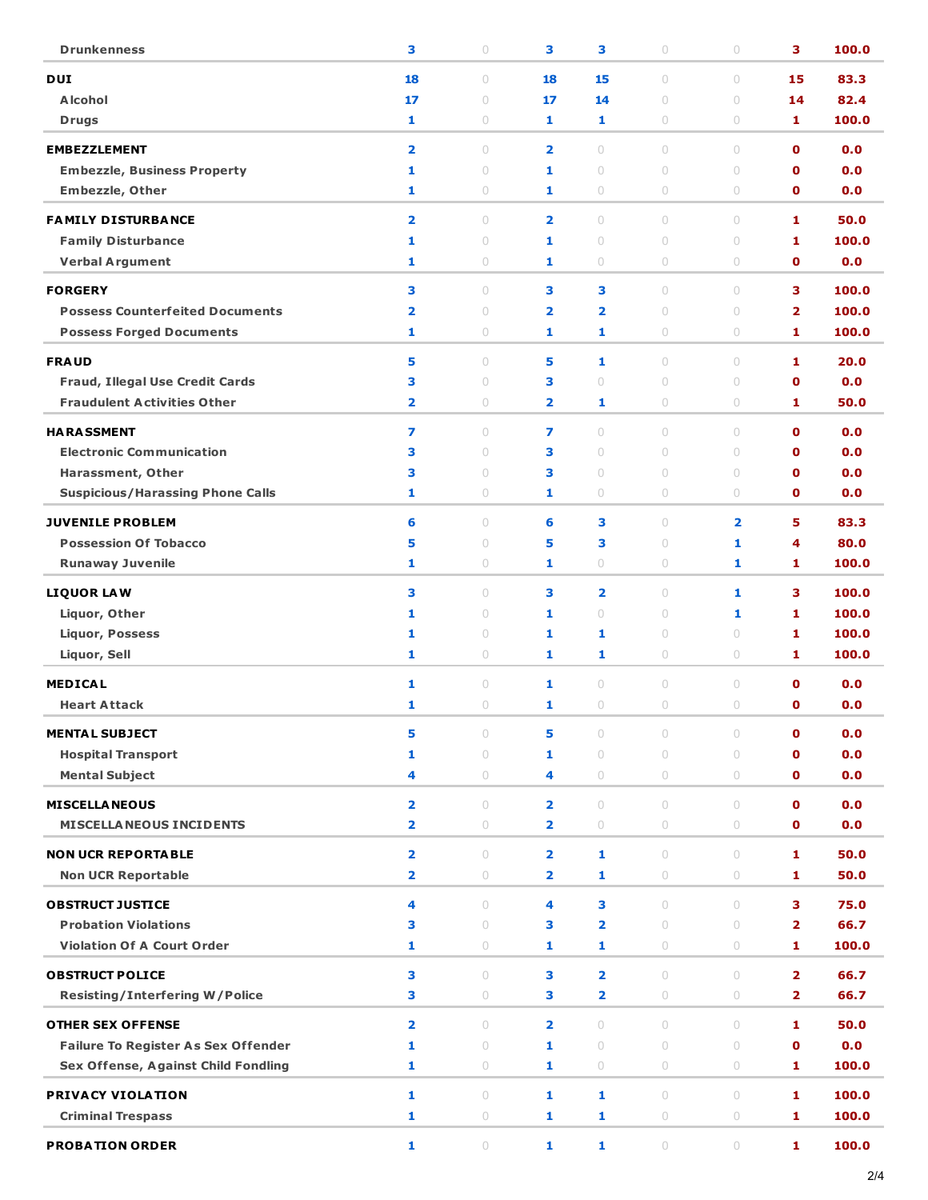| <b>Drunkenness</b>                                               | 3                       | $\bigcirc$                       | 3                       | 3                            | $\bigcirc$                       | $\circ$                 | 3                          | 100.0         |
|------------------------------------------------------------------|-------------------------|----------------------------------|-------------------------|------------------------------|----------------------------------|-------------------------|----------------------------|---------------|
| <b>DUI</b>                                                       | 18                      | 0                                | 18                      | 15                           | $\circ$                          | $\bigcirc$              | 15                         | 83.3          |
| <b>Alcohol</b>                                                   | 17                      | $\circ$                          | 17                      | 14                           | $\circ$                          | $\cup$                  | 14                         | 82.4          |
| <b>Drugs</b>                                                     | 1                       | 0                                | 1                       | 1                            | $\circ$                          | $\circ$                 | 1                          | 100.0         |
|                                                                  |                         |                                  |                         |                              |                                  |                         |                            |               |
| <b>EMBEZZLEMENT</b>                                              | $\overline{\mathbf{2}}$ | $\circ$                          | $\overline{2}$          | $\circ$                      | $\circ$                          | $\circ$                 | $\mathbf 0$                | 0.0           |
| <b>Embezzle, Business Property</b>                               | 1<br>1                  | $\cup$<br>0                      | 1<br>1                  | $\cup$<br>$\circ$            | $\circ$<br>$\circlearrowright$   | $\cup$<br>$\bigcirc$    | $\mathbf 0$<br>$\mathbf o$ | 0.0<br>0.0    |
| <b>Embezzle, Other</b>                                           |                         |                                  |                         |                              |                                  |                         |                            |               |
| <b>FAMILY DISTURBANCE</b>                                        | $\overline{\mathbf{2}}$ | $\cup$                           | $\overline{2}$          | $\cup$                       | $\begin{array}{c} \n\end{array}$ | $\cup$                  | 1                          | 50.0          |
| <b>Family Disturbance</b>                                        | 1                       | $\circ$                          | 1                       | $\circ$                      | $\circ$                          | $\cup$                  | 1                          | 100.0         |
| <b>Verbal Argument</b>                                           | 1                       | 0                                | 1                       | $\circ$                      | $\circ$                          | 0                       | $\mathbf o$                | 0.0           |
| <b>FORGERY</b>                                                   | 3                       | $\cup$                           | 3                       | 3                            | $\begin{array}{c} \n\end{array}$ | $\bigcirc$              | з                          | 100.0         |
| <b>Possess Counterfeited Documents</b>                           | $\overline{\mathbf{2}}$ | $\cup$                           | $\overline{\mathbf{2}}$ | $\overline{\mathbf{2}}$      | $\bigcirc$                       | $\cup$                  | $\overline{\mathbf{2}}$    | 100.0         |
| <b>Possess Forged Documents</b>                                  | 1                       | $\circ$                          | 1                       | 1                            | $\circlearrowright$              | $\bigcirc$              | 1                          | 100.0         |
| <b>FRAUD</b>                                                     | 5                       | $\begin{array}{c} \n\end{array}$ | 5                       | 1                            | $\circ$                          | $\cup$                  | 1                          | 20.0          |
| Fraud, Illegal Use Credit Cards                                  | 3                       | $\cup$                           | з                       | $\bigcirc$                   | $\circ$                          | $\cup$                  | $\mathbf o$                | 0.0           |
| <b>Fraudulent Activities Other</b>                               | $\overline{\mathbf{2}}$ | 0                                | $\overline{2}$          | 1                            | $\circ$                          | $\circ$                 | 1                          | 50.0          |
|                                                                  |                         |                                  |                         |                              |                                  |                         |                            |               |
| <b>HARASSMENT</b>                                                | 7                       | $\begin{array}{c} \n\end{array}$ | 7                       | $\circ$                      | $\begin{array}{c} \n\end{array}$ | $\bigcirc$              | $\mathbf 0$                | 0.0           |
| <b>Electronic Communication</b>                                  | 3                       | $\begin{array}{c} \n\end{array}$ | 3                       | $\bigcirc$                   | $\bigcirc$                       | $\cup$                  | $\mathbf 0$                | 0.0           |
| Harassment, Other                                                | 3                       | $\cup$                           | 3                       | $\bigcirc$                   | $\bigcirc$                       | $\circ$                 | $\mathbf o$                | 0.0           |
| <b>Suspicious/Harassing Phone Calls</b>                          | 1                       | 0                                | 1                       | $\circ$                      | $\circ$                          | $\circ$                 | $\mathbf o$                | 0.0           |
| <b>JUVENILE PROBLEM</b>                                          | 6                       | $\circ$                          | 6                       | 3                            | $\circ$                          | $\overline{\mathbf{2}}$ | 5                          | 83.3          |
| <b>Possession Of Tobacco</b>                                     | 5                       | $\begin{array}{c} \n\end{array}$ | 5                       | 3                            | $\circ$                          | 1                       | 4                          | 80.0          |
| <b>Runaway Juvenile</b>                                          | 1                       | 0                                | 1                       | 0                            | $\circ$                          | 1                       | 1                          | 100.0         |
| <b>LIQUOR LAW</b>                                                | 3                       | $\cup$                           | 3                       | $\overline{\mathbf{2}}$      | $\begin{array}{c} \n\end{array}$ | 1                       | з                          | 100.0         |
| Liquor, Other                                                    | 1                       | $\circ$                          | 1                       | $\circ$                      | $\circ$                          | 1                       | 1                          | 100.0         |
| <b>Liquor, Possess</b>                                           | 1                       | $\circ$                          | 1                       | 1                            | $\circ$                          | $\circ$                 | 1                          | 100.0         |
| Liquor, Sell                                                     | 1                       | 0                                | 1                       | 1                            | $\circlearrowright$              | $\bigcirc$              | 1                          | 100.0         |
| <b>MEDICAL</b>                                                   | 1                       | $\circ$                          | 1                       | $\bigcirc$                   | $\bigcirc$                       | $\bigcirc$              | $\mathbf o$                | 0.0           |
| <b>Heart Attack</b>                                              | 1                       | $\circ$                          | 1                       | $\cup$                       | $\circ$                          | $\cup$                  | $\mathbf 0$                | 0.0           |
|                                                                  |                         |                                  |                         |                              |                                  |                         |                            |               |
| <b>MENTAL SUBJECT</b>                                            | 5                       | $\circ$                          | 5                       | $\circ$                      | $\circ$                          | $\circ$                 | $\mathbf o$                | 0.0           |
| <b>Hospital Transport</b>                                        | 1                       | $\cup$                           | 1                       | $\circ$                      | $\circ$                          | $\cup$                  | 0                          | 0.0           |
| <b>Mental Subject</b>                                            | 4                       | 0                                | 4                       | $\circ$                      | $\circ$                          | $\circ$                 | $\mathbf o$                | 0.0           |
| <b>MISCELLANEOUS</b>                                             | $\overline{\mathbf{2}}$ | $\circ$                          | $\overline{2}$          | $\circ$                      | $\circ$                          | $\circ$                 | $\mathbf o$                | 0.0           |
| <b>MISCELLA NEOUS INCIDENTS</b>                                  | $\overline{\mathbf{2}}$ | 0                                | $\overline{2}$          | $\circ$                      | $\circ$                          | $\circ$                 | $\mathbf o$                | 0.0           |
| <b>NON UCR REPORTABLE</b>                                        | $\overline{\mathbf{2}}$ | $\circ$                          | $\overline{2}$          | 1                            | $\circ$                          | $\bigcirc$              | 1                          | 50.0          |
| <b>Non UCR Reportable</b>                                        | $\overline{\mathbf{2}}$ | $\circ$                          | $\overline{2}$          | 1                            | $\circ$                          | $\circ$                 | 1                          | 50.0          |
|                                                                  |                         |                                  |                         |                              |                                  |                         |                            |               |
| <b>OBSTRUCT JUSTICE</b>                                          | 4                       | $\circ$                          | 4                       | 3                            | $\circ$                          | $\bigcirc$              | 3                          | 75.0          |
| <b>Probation Violations</b><br><b>Violation Of A Court Order</b> | з<br>1                  | $\circ$                          | 3                       | $\overline{\mathbf{2}}$<br>1 | $\circ$<br>$\circlearrowright$   | $\circ$<br>$\circ$      | 2                          | 66.7<br>100.0 |
|                                                                  |                         | 0                                | 1                       |                              |                                  |                         | 1                          |               |
| <b>OBSTRUCT POLICE</b>                                           | з                       | $\circ$                          | 3                       | $\overline{\mathbf{2}}$      | $\circ$                          | $\circ$                 | 2                          | 66.7          |
| <b>Resisting/Interfering W/Police</b>                            | з                       | $\bigcirc$                       | з                       | $\overline{\mathbf{2}}$      | $\circlearrowright$              | $\bigcirc$              | 2                          | 66.7          |
| <b>OTHER SEX OFFENSE</b>                                         | $\overline{\mathbf{2}}$ | $\circ$                          | $\overline{\mathbf{2}}$ | $\circ$                      | $\circ$                          | $\circ$                 | 1                          | 50.0          |
| <b>Failure To Register As Sex Offender</b>                       | 1                       | $\circ$                          | 1                       | $\circ$                      | $\circ$                          | $\cup$                  | $\mathbf o$                | 0.0           |
| Sex Offense, Against Child Fondling                              | 1                       | 0                                | 1                       | $\circ$                      | $\circ$                          | $\circlearrowright$     | 1                          | 100.0         |
| PRIVACY VIOLATION                                                | 1                       | $\circ$                          | 1                       | 1                            | $\circ$                          | $\circ$                 | 1                          | 100.0         |
| <b>Criminal Trespass</b>                                         | 1                       | 0                                | 1                       | 1                            | $\circ$                          | 0                       | 1                          | 100.0         |
|                                                                  |                         |                                  |                         |                              |                                  |                         |                            |               |
| <b>PROBATION ORDER</b>                                           | 1                       | $\bigcirc$                       | $\mathbf{1}$            | 1                            | $\bigcirc$                       | $\circlearrowright$     | 1                          | 100.0         |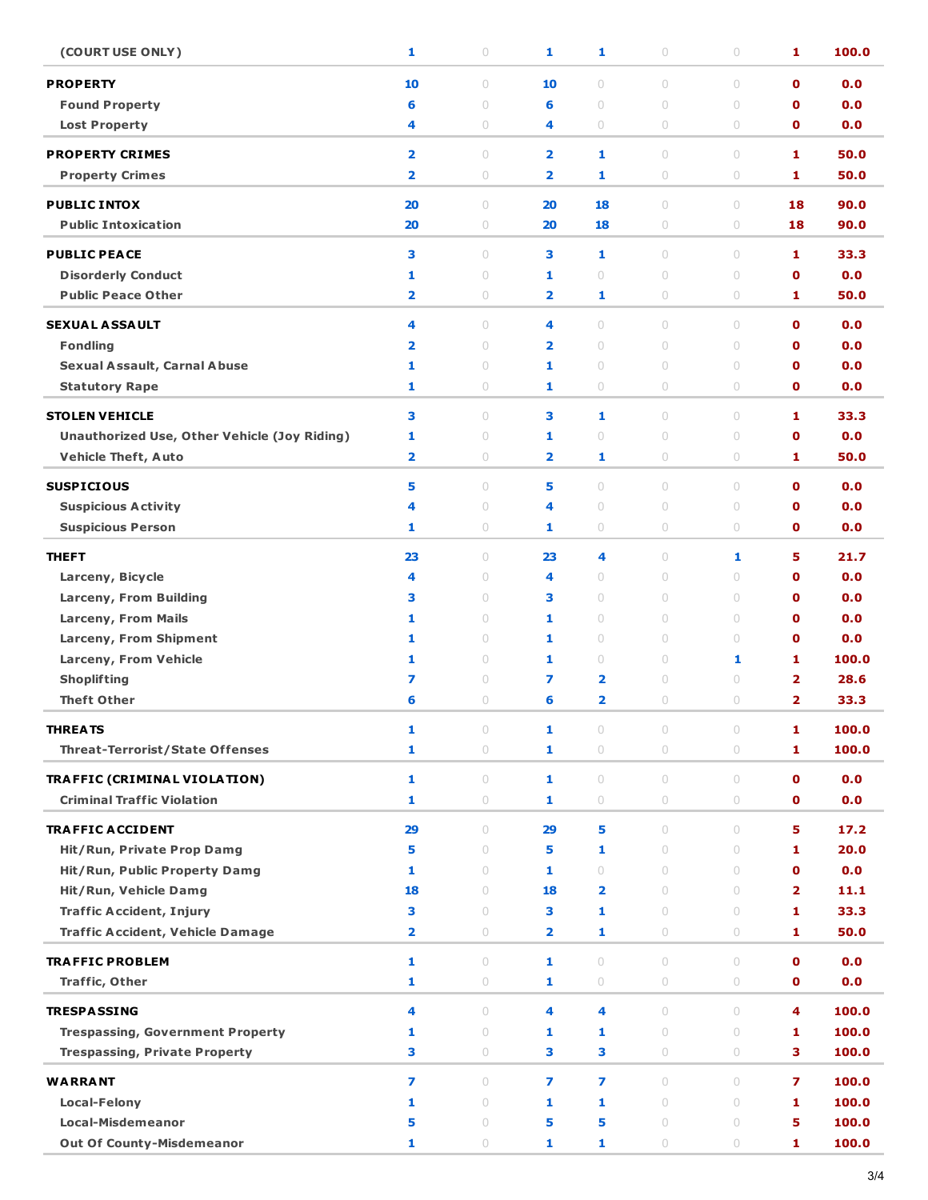| (COURT USE ONLY)                                    | 1                       | $\bigcirc$                       | 1                       | 1                       | $\bigcirc$          | $\bigcirc$                       | 1                       | 100.0 |
|-----------------------------------------------------|-------------------------|----------------------------------|-------------------------|-------------------------|---------------------|----------------------------------|-------------------------|-------|
| <b>PROPERTY</b>                                     | 10                      | $\circ$                          | 10                      | $\circ$                 | $\circ$             | $\circ$                          | $\mathbf 0$             | 0.0   |
| <b>Found Property</b>                               | 6                       | $\circ$                          | 6                       | $\circ$                 | $\circ$             | $\cup$                           | $\mathbf o$             | 0.0   |
| <b>Lost Property</b>                                | 4                       | $\circ$                          | 4                       | $\circlearrowright$     | $\circ$             | $\cup$                           | $\mathbf 0$             | 0.0   |
| <b>PROPERTY CRIMES</b>                              | $\overline{\mathbf{2}}$ | $\circ$                          | $\overline{\mathbf{2}}$ | 1                       | $\circ$             | $\circ$                          | 1                       | 50.0  |
| <b>Property Crimes</b>                              | $\overline{\mathbf{2}}$ | $\circlearrowright$              | $\overline{\mathbf{2}}$ | 1                       | $\bigcirc$          | $\bigcirc$                       | 1                       | 50.0  |
|                                                     |                         |                                  |                         |                         |                     |                                  |                         |       |
| <b>PUBLIC INTOX</b>                                 | 20                      | $\circ$                          | 20                      | 18                      | $\circ$             | $\circ$                          | 18                      | 90.0  |
| <b>Public Intoxication</b>                          | 20                      | $\circlearrowright$              | 20                      | 18                      | $\bigcirc$          | $\bigcirc$                       | 18                      | 90.0  |
| <b>PUBLIC PEACE</b>                                 | 3                       | $\circ$                          | 3                       | 1                       | $\circ$             | $\circ$                          | 1                       | 33.3  |
| <b>Disorderly Conduct</b>                           | 1                       | $\circ$                          | 1                       | $\cup$                  | $\circ$             | $\cup$                           | $\mathbf 0$             | 0.0   |
| <b>Public Peace Other</b>                           | $\overline{\mathbf{2}}$ | $\circ$                          | $\overline{\mathbf{2}}$ | 1                       | $\circ$             | $\circ$                          | 1                       | 50.0  |
| <b>SEXUAL ASSAULT</b>                               | 4                       | $\circ$                          | 4                       | $\circ$                 | $\circ$             | $\cup$                           | $\mathbf 0$             | 0.0   |
| <b>Fondling</b>                                     | 2                       | $\circ$                          | $\overline{\mathbf{2}}$ | $\circ$                 | $\circ$             | $\circ$                          | $\mathbf o$             | 0.0   |
| <b>Sexual Assault, Carnal Abuse</b>                 | 1                       | $\circ$                          | 1                       | $\circ$                 | $\circ$             | $\cup$                           | $\mathbf o$             | 0.0   |
| <b>Statutory Rape</b>                               | 1                       | $\circ$                          | 1                       | $\circ$                 | $\circ$             | $\circ$                          | $\mathbf 0$             | 0.0   |
|                                                     |                         |                                  |                         |                         |                     |                                  |                         |       |
| <b>STOLEN VEHICLE</b>                               | 3                       | $\circ$                          | 3                       | 1                       | $\circ$             | $\cup$                           | 1                       | 33.3  |
| <b>Unauthorized Use, Other Vehicle (Joy Riding)</b> | 1                       | $\circ$                          | 1                       | $\circ$                 | $\circ$             | $\circ$                          | $\mathbf o$             | 0.0   |
| <b>Vehicle Theft, Auto</b>                          | $\overline{\mathbf{2}}$ | $\circlearrowright$              | $\overline{\mathbf{2}}$ | 1                       | $\circ$             | $\bigcirc$                       | 1                       | 50.0  |
| <b>SUSPICIOUS</b>                                   | 5                       | $\begin{array}{c} \n\end{array}$ | 5                       | $\circ$                 | $\circ$             | $\circ$                          | $\mathbf 0$             | 0.0   |
| <b>Suspicious Activity</b>                          | 4                       | $\circ$                          | 4                       | $\circlearrowright$     | $\circ$             | $\bigcirc$                       | $\mathbf 0$             | 0.0   |
| <b>Suspicious Person</b>                            | 1                       | $\circ$                          | 1                       | $\circ$                 | $\circ$             | $\circ$                          | $\mathbf 0$             | 0.0   |
| <b>THEFT</b>                                        | 23                      | $\circ$                          | 23                      | 4                       | $\circ$             | 1                                | 5                       | 21.7  |
| Larceny, Bicycle                                    | 4                       | $\circ$                          | 4                       | $\circ$                 | $\circ$             | $\circ$                          | $\mathbf o$             | 0.0   |
| Larceny, From Building                              | з                       | $\circ$                          | 3                       | $\circ$                 | $\circ$             | $\circ$                          | $\mathbf o$             | 0.0   |
| <b>Larceny, From Mails</b>                          | 1                       | $\circ$                          | 1                       | $\circ$                 | $\circ$             | $\circ$                          | $\mathbf o$             | 0.0   |
| Larceny, From Shipment                              | 1                       | $\circ$                          | 1                       | $\circ$                 | $\circ$             | $\circ$                          | $\mathbf o$             | 0.0   |
| Larceny, From Vehicle                               | 1                       | $\circ$                          | 1                       | $\circ$                 | $\circ$             | 1                                | 1                       | 100.0 |
| <b>Shoplifting</b>                                  | 7                       | $\circ$                          | 7                       | 2                       | $\circ$             | $\bigcirc$                       | $\overline{\mathbf{2}}$ | 28.6  |
| <b>Theft Other</b>                                  | 6                       | $\circ$                          | 6                       | $\overline{\mathbf{2}}$ | $\circ$             | $\cup$                           | $\overline{2}$          | 33.3  |
|                                                     |                         |                                  |                         |                         |                     |                                  |                         |       |
| <b>THREATS</b>                                      | 1                       | 0                                | 1                       | 0                       | 0                   | $\bigcirc$                       | 1                       | 100.0 |
| <b>Threat-Terrorist/State Offenses</b>              | 1                       | $\circ$                          | 1                       | $\circ$                 | $\circ$             | $\cup$                           | 1                       | 100.0 |
| <b>TRAFFIC (CRIMINAL VIOLATION)</b>                 | 1                       | $\circ$                          | $\mathbf{1}$            | $\circ$                 | $\circ$             | $\circ$                          | $\mathbf{o}$            | 0.0   |
| <b>Criminal Traffic Violation</b>                   | 1                       | $\circ$                          | 1                       | $\circ$                 | $\circ$             | 0                                | 0                       | 0.0   |
| <b>TRAFFIC ACCIDENT</b>                             | 29                      | $\circ$                          | 29                      | 5                       | $\cup$              | $\cup$                           | 5.                      | 17.2  |
| Hit/Run, Private Prop Damq                          | 5                       | $\begin{array}{c} \n\end{array}$ | 5                       | 1                       | $\circ$             | $\cup$                           | 1                       | 20.0  |
| Hit/Run, Public Property Damg                       | 1                       | $\circ$                          | 1                       | $\circ$                 | $\circ$             | $\circ$                          | $\mathbf 0$             | 0.0   |
| Hit/Run, Vehicle Damg                               | 18                      | $\circ$                          | 18                      | $\overline{2}$          | $\circ$             | $\cup$                           | $\overline{2}$          | 11.1  |
| <b>Traffic Accident, Injury</b>                     | 3                       | $\begin{array}{c} \n\end{array}$ | 3                       | 1                       | $\cup$              | $\cup$                           | 1                       | 33.3  |
| <b>Traffic Accident, Vehicle Damage</b>             | $\overline{\mathbf{2}}$ | $\circ$                          | $\overline{2}$          | 1                       | $\circ$             | $\cup$                           | 1                       | 50.0  |
| <b>TRAFFIC PROBLEM</b>                              | 1                       | $\circ$                          | 1                       | $\circ$                 | $\circ$             | $\circ$                          | $\mathbf 0$             | 0.0   |
| <b>Traffic, Other</b>                               | 1                       | $\circ$                          | 1                       | $\circ$                 | $\circ$             | 0                                | 0                       | 0.0   |
|                                                     |                         |                                  |                         |                         |                     |                                  |                         |       |
| <b>TRESPASSING</b>                                  | 4                       | $\circ$                          | 4                       | 4                       | $\cup$              | $\cup$                           | 4                       | 100.0 |
| <b>Trespassing, Government Property</b>             | 1                       | $\circ$                          | 1                       | 1                       | $\circ$             | $\circ$                          | 1                       | 100.0 |
| <b>Trespassing, Private Property</b>                | 3                       | $\bigcirc$                       | 3                       | 3                       | $\circ$             | $\bigcirc$                       | з                       | 100.0 |
| <b>WARRANT</b>                                      | 7                       | $\begin{array}{c} \n\end{array}$ | 7                       | 7                       | $\cup$              | $\begin{array}{c} \n\end{array}$ | $\overline{ }$          | 100.0 |
| <b>Local-Felony</b>                                 | 1                       | $\circ$                          | $\mathbf{1}$            | 1                       | $\cup$              | $\cup$                           | 1                       | 100.0 |
| <b>Local-Misdemeanor</b>                            | 5                       | $\circ$                          | 5                       | 5                       | $\cup$              | $\circ$                          | 5                       | 100.0 |
| <b>Out Of County-Misdemeanor</b>                    | 1                       | $\bigcirc$                       | 1                       | 1                       | $\circlearrowright$ | 0                                | 1                       | 100.0 |